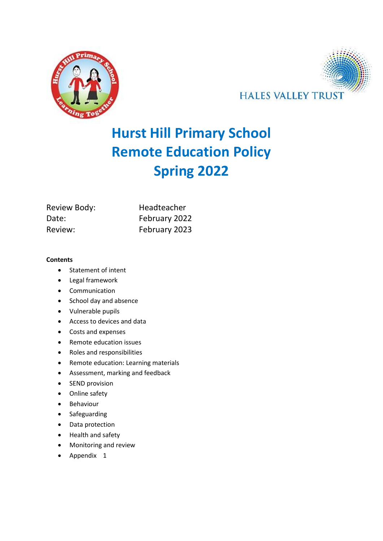



# **Hurst Hill Primary School Remote Education Policy Spring 2022**

| Review Body: | Headteacher   |  |
|--------------|---------------|--|
| Date:        | February 2022 |  |
| Review:      | February 2023 |  |

#### **Contents**

- Statement of intent
- Legal framework
- Communication
- School day and absence
- Vulnerable pupils
- Access to devices and data
- Costs and expenses
- Remote education issues
- Roles and responsibilities
- Remote education: Learning materials
- Assessment, marking and feedback
- SEND provision
- Online safety
- Behaviour
- Safeguarding
- Data protection
- Health and safety
- Monitoring and review
- Appendix 1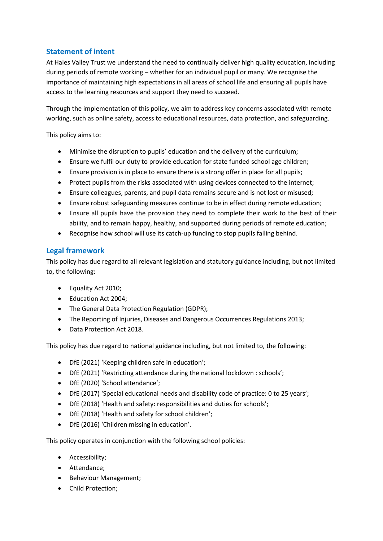# **Statement of intent**

At Hales Valley Trust we understand the need to continually deliver high quality education, including during periods of remote working – whether for an individual pupil or many. We recognise the importance of maintaining high expectations in all areas of school life and ensuring all pupils have access to the learning resources and support they need to succeed.

Through the implementation of this policy, we aim to address key concerns associated with remote working, such as online safety, access to educational resources, data protection, and safeguarding.

This policy aims to:

- Minimise the disruption to pupils' education and the delivery of the curriculum;
- Ensure we fulfil our duty to provide education for state funded school age children;
- Ensure provision is in place to ensure there is a strong offer in place for all pupils;
- Protect pupils from the risks associated with using devices connected to the internet;
- Ensure colleagues, parents, and pupil data remains secure and is not lost or misused;
- Ensure robust safeguarding measures continue to be in effect during remote education;
- Ensure all pupils have the provision they need to complete their work to the best of their ability, and to remain happy, healthy, and supported during periods of remote education;
- Recognise how school will use its catch-up funding to stop pupils falling behind.

## **Legal framework**

This policy has due regard to all relevant legislation and statutory guidance including, but not limited to, the following:

- Equality Act 2010;
- Education Act 2004;
- The General Data Protection Regulation (GDPR);
- The Reporting of Injuries, Diseases and Dangerous Occurrences Regulations 2013;
- Data Protection Act 2018.

This policy has due regard to national guidance including, but not limited to, the following:

- DfE (2021) 'Keeping children safe in education';
- DfE (2021) 'Restricting attendance during the national lockdown : schools';
- DfE (2020) 'School attendance';
- DfE (2017) 'Special educational needs and disability code of practice: 0 to 25 years';
- DfE (2018) 'Health and safety: responsibilities and duties for schools';
- DfE (2018) 'Health and safety for school children';
- DfE (2016) 'Children missing in education'.

This policy operates in conjunction with the following school policies:

- Accessibility;
- Attendance;
- Behaviour Management;
- Child Protection;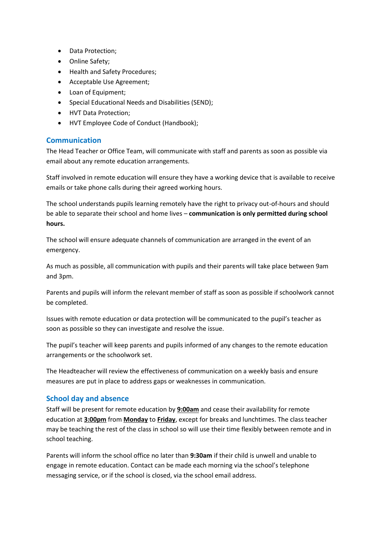- Data Protection;
- Online Safety;
- Health and Safety Procedures;
- Acceptable Use Agreement;
- Loan of Equipment;
- Special Educational Needs and Disabilities (SEND);
- HVT Data Protection;
- HVT Employee Code of Conduct (Handbook);

## **Communication**

The Head Teacher or Office Team, will communicate with staff and parents as soon as possible via email about any remote education arrangements.

Staff involved in remote education will ensure they have a working device that is available to receive emails or take phone calls during their agreed working hours.

The school understands pupils learning remotely have the right to privacy out-of-hours and should be able to separate their school and home lives – **communication is only permitted during school hours.**

The school will ensure adequate channels of communication are arranged in the event of an emergency.

As much as possible, all communication with pupils and their parents will take place between 9am and 3pm.

Parents and pupils will inform the relevant member of staff as soon as possible if schoolwork cannot be completed.

Issues with remote education or data protection will be communicated to the pupil's teacher as soon as possible so they can investigate and resolve the issue.

The pupil's teacher will keep parents and pupils informed of any changes to the remote education arrangements or the schoolwork set.

The Headteacher will review the effectiveness of communication on a weekly basis and ensure measures are put in place to address gaps or weaknesses in communication.

## **School day and absence**

Staff will be present for remote education by **9:00am** and cease their availability for remote education at **3:00pm** from **Monday** to **Friday**, except for breaks and lunchtimes. The class teacher may be teaching the rest of the class in school so will use their time flexibly between remote and in school teaching.

Parents will inform the school office no later than **9:30am** if their child is unwell and unable to engage in remote education. Contact can be made each morning via the school's telephone messaging service, or if the school is closed, via the school email address.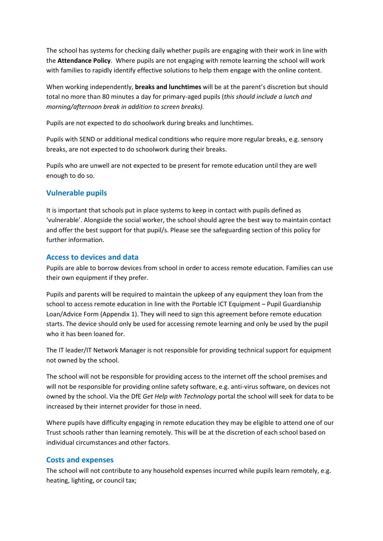The school has systems for checking daily whether pupils are engaging with their work in line with the **Attendance Policy**. Where pupils are not engaging with remote learning the school will work with families to rapidly identify effective solutions to help them engage with the online content.

When working independently, **breaks and lunchtimes** will be at the parent's discretion but should total no more than 80 minutes a day for primary-aged pupils (*this should include a lunch and morning/afternoon break in addition to screen breaks).*

Pupils are not expected to do schoolwork during breaks and lunchtimes.

Pupils with SEND or additional medical conditions who require more regular breaks, e.g. sensory breaks, are not expected to do schoolwork during their breaks.

Pupils who are unwell are not expected to be present for remote education until they are well enough to do so.

# **Vulnerable pupils**

It is important that schools put in place systems to keep in contact with pupils defined as 'vulnerable'. Alongside the social worker, the school should agree the best way to maintain contact and offer the best support for that pupil/s. Please see the safeguarding section of this policy for further information.

## **Access to devices and data**

Pupils are able to borrow devices from school in order to access remote education. Families can use their own equipment if they prefer.

Pupils and parents will be required to maintain the upkeep of any equipment they loan from the school to access remote education in line with the Portable ICT Equipment – Pupil Guardianship Loan/Advice Form (Appendix 1). They will need to sign this agreement before remote education starts. The device should only be used for accessing remote learning and only be used by the pupil who it has been loaned for.

The IT leader/IT Network Manager is not responsible for providing technical support for equipment not owned by the school.

The school will not be responsible for providing access to the internet off the school premises and will not be responsible for providing online safety software, e.g. anti-virus software, on devices not owned by the school. Via the DfE *Get Help with Technology* portal the school will seek for data to be increased by their internet provider for those in need.

Where pupils have difficulty engaging in remote education they may be eligible to attend one of our Trust schools rather than learning remotely. This will be at the discretion of each school based on individual circumstances and other factors.

## **Costs and expenses**

The school will not contribute to any household expenses incurred while pupils learn remotely, e.g. heating, lighting, or council tax;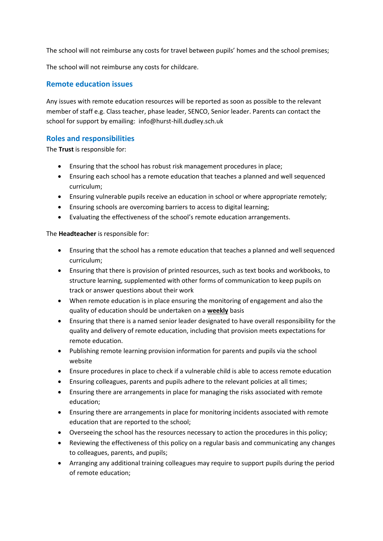The school will not reimburse any costs for travel between pupils' homes and the school premises;

The school will not reimburse any costs for childcare.

## **Remote education issues**

Any issues with remote education resources will be reported as soon as possible to the relevant member of staff e.g. Class teacher, phase leader, SENCO, Senior leader. Parents can contact the school for support by emailing: info@hurst-hill.dudley.sch.uk

## **Roles and responsibilities**

The **Trust** is responsible for:

- Ensuring that the school has robust risk management procedures in place;
- Ensuring each school has a remote education that teaches a planned and well sequenced curriculum;
- Ensuring vulnerable pupils receive an education in school or where appropriate remotely;
- Ensuring schools are overcoming barriers to access to digital learning;
- Evaluating the effectiveness of the school's remote education arrangements.

#### The **Headteacher** is responsible for:

- Ensuring that the school has a remote education that teaches a planned and well sequenced curriculum;
- Ensuring that there is provision of printed resources, such as text books and workbooks, to structure learning, supplemented with other forms of communication to keep pupils on track or answer questions about their work
- When remote education is in place ensuring the monitoring of engagement and also the quality of education should be undertaken on a **weekly** basis
- Ensuring that there is a named senior leader designated to have overall responsibility for the quality and delivery of remote education, including that provision meets expectations for remote education.
- Publishing remote learning provision information for parents and pupils via the school website
- Ensure procedures in place to check if a vulnerable child is able to access remote education
- Ensuring colleagues, parents and pupils adhere to the relevant policies at all times;
- Ensuring there are arrangements in place for managing the risks associated with remote education;
- Ensuring there are arrangements in place for monitoring incidents associated with remote education that are reported to the school;
- Overseeing the school has the resources necessary to action the procedures in this policy;
- Reviewing the effectiveness of this policy on a regular basis and communicating any changes to colleagues, parents, and pupils;
- Arranging any additional training colleagues may require to support pupils during the period of remote education;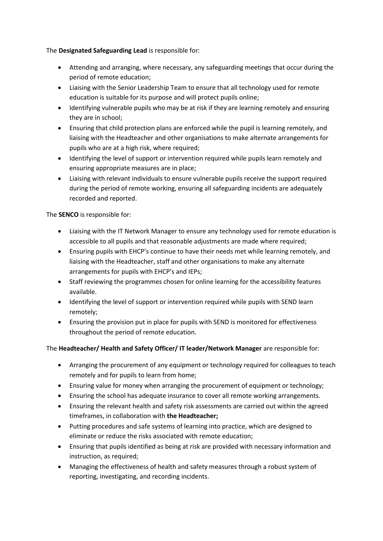The **Designated Safeguarding Lead** is responsible for:

- Attending and arranging, where necessary, any safeguarding meetings that occur during the period of remote education;
- Liaising with the Senior Leadership Team to ensure that all technology used for remote education is suitable for its purpose and will protect pupils online;
- Identifying vulnerable pupils who may be at risk if they are learning remotely and ensuring they are in school;
- Ensuring that child protection plans are enforced while the pupil is learning remotely, and liaising with the Headteacher and other organisations to make alternate arrangements for pupils who are at a high risk, where required;
- Identifying the level of support or intervention required while pupils learn remotely and ensuring appropriate measures are in place;
- Liaising with relevant individuals to ensure vulnerable pupils receive the support required during the period of remote working, ensuring all safeguarding incidents are adequately recorded and reported.

The **SENCO** is responsible for:

- Liaising with the IT Network Manager to ensure any technology used for remote education is accessible to all pupils and that reasonable adjustments are made where required;
- Ensuring pupils with EHCP's continue to have their needs met while learning remotely, and liaising with the Headteacher, staff and other organisations to make any alternate arrangements for pupils with EHCP's and IEPs;
- Staff reviewing the programmes chosen for online learning for the accessibility features available.
- Identifying the level of support or intervention required while pupils with SEND learn remotely;
- Ensuring the provision put in place for pupils with SEND is monitored for effectiveness throughout the period of remote education.

#### The **Headteacher/ Health and Safety Officer/ IT leader/Network Manager** are responsible for:

- Arranging the procurement of any equipment or technology required for colleagues to teach remotely and for pupils to learn from home;
- Ensuring value for money when arranging the procurement of equipment or technology;
- Ensuring the school has adequate insurance to cover all remote working arrangements.
- Ensuring the relevant health and safety risk assessments are carried out within the agreed timeframes, in collaboration with **the Headteacher;**
- Putting procedures and safe systems of learning into practice, which are designed to eliminate or reduce the risks associated with remote education;
- Ensuring that pupils identified as being at risk are provided with necessary information and instruction, as required;
- Managing the effectiveness of health and safety measures through a robust system of reporting, investigating, and recording incidents.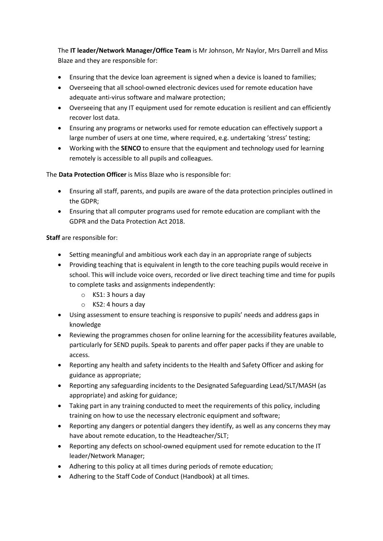The **IT leader/Network Manager/Office Team** is Mr Johnson, Mr Naylor, Mrs Darrell and Miss Blaze and they are responsible for:

- Ensuring that the device loan agreement is signed when a device is loaned to families;
- Overseeing that all school-owned electronic devices used for remote education have adequate anti-virus software and malware protection;
- Overseeing that any IT equipment used for remote education is resilient and can efficiently recover lost data.
- Ensuring any programs or networks used for remote education can effectively support a large number of users at one time, where required, e.g. undertaking 'stress' testing;
- Working with the **SENCO** to ensure that the equipment and technology used for learning remotely is accessible to all pupils and colleagues.

The **Data Protection Officer** is Miss Blaze who is responsible for:

- Ensuring all staff, parents, and pupils are aware of the data protection principles outlined in the GDPR;
- Ensuring that all computer programs used for remote education are compliant with the GDPR and the Data Protection Act 2018.

**Staff** are responsible for:

- Setting meaningful and ambitious work each day in an appropriate range of subjects
- Providing teaching that is equivalent in length to the core teaching pupils would receive in school. This will include voice overs, recorded or live direct teaching time and time for pupils to complete tasks and assignments independently:
	- o KS1: 3 hours a day
	- o KS2: 4 hours a day
- Using assessment to ensure teaching is responsive to pupils' needs and address gaps in knowledge
- Reviewing the programmes chosen for online learning for the accessibility features available, particularly for SEND pupils. Speak to parents and offer paper packs if they are unable to access.
- Reporting any health and safety incidents to the Health and Safety Officer and asking for guidance as appropriate;
- Reporting any safeguarding incidents to the Designated Safeguarding Lead/SLT/MASH (as appropriate) and asking for guidance;
- Taking part in any training conducted to meet the requirements of this policy, including training on how to use the necessary electronic equipment and software;
- Reporting any dangers or potential dangers they identify, as well as any concerns they may have about remote education, to the Headteacher/SLT;
- Reporting any defects on school-owned equipment used for remote education to the IT leader/Network Manager;
- Adhering to this policy at all times during periods of remote education;
- Adhering to the Staff Code of Conduct (Handbook) at all times.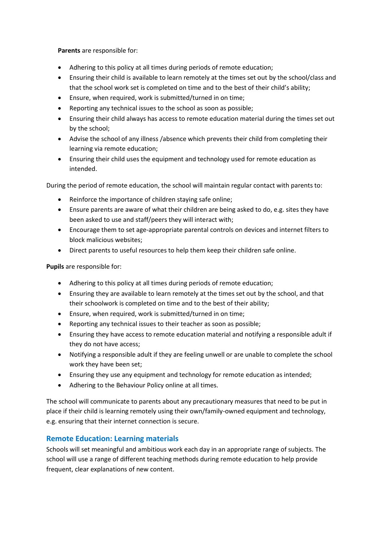**Parents** are responsible for:

- Adhering to this policy at all times during periods of remote education;
- Ensuring their child is available to learn remotely at the times set out by the school/class and that the school work set is completed on time and to the best of their child's ability;
- Ensure, when required, work is submitted/turned in on time;
- Reporting any technical issues to the school as soon as possible;
- Ensuring their child always has access to remote education material during the times set out by the school;
- Advise the school of any illness /absence which prevents their child from completing their learning via remote education;
- Ensuring their child uses the equipment and technology used for remote education as intended.

During the period of remote education, the school will maintain regular contact with parents to:

- Reinforce the importance of children staying safe online;
- Ensure parents are aware of what their children are being asked to do, e.g. sites they have been asked to use and staff/peers they will interact with;
- Encourage them to set age-appropriate parental controls on devices and internet filters to block malicious websites;
- Direct parents to useful resources to help them keep their children safe online.

**Pupils** are responsible for:

- Adhering to this policy at all times during periods of remote education;
- Ensuring they are available to learn remotely at the times set out by the school, and that their schoolwork is completed on time and to the best of their ability;
- Ensure, when required, work is submitted/turned in on time;
- Reporting any technical issues to their teacher as soon as possible;
- Ensuring they have access to remote education material and notifying a responsible adult if they do not have access;
- Notifying a responsible adult if they are feeling unwell or are unable to complete the school work they have been set;
- Ensuring they use any equipment and technology for remote education as intended;
- Adhering to the Behaviour Policy online at all times.

The school will communicate to parents about any precautionary measures that need to be put in place if their child is learning remotely using their own/family-owned equipment and technology, e.g. ensuring that their internet connection is secure.

## **Remote Education: Learning materials**

Schools will set meaningful and ambitious work each day in an appropriate range of subjects. The school will use a range of different teaching methods during remote education to help provide frequent, clear explanations of new content.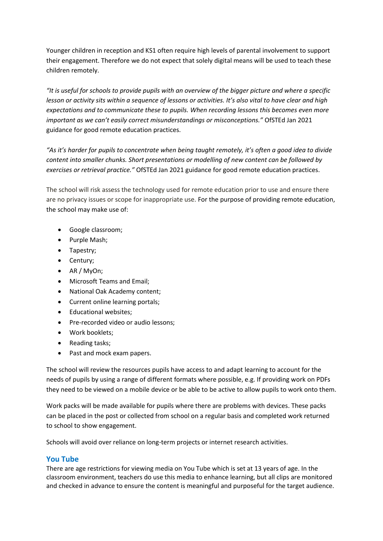Younger children in reception and KS1 often require high levels of parental involvement to support their engagement. Therefore we do not expect that solely digital means will be used to teach these children remotely.

*"It is useful for schools to provide pupils with an overview of the bigger picture and where a specific lesson or activity sits within a sequence of lessons or activities. It's also vital to have clear and high expectations and to communicate these to pupils. When recording lessons this becomes even more important as we can't easily correct misunderstandings or misconceptions."* OfSTEd Jan 2021 guidance for good remote education practices.

*"As it's harder for pupils to concentrate when being taught remotely, it's often a good idea to divide content into smaller chunks. Short presentations or modelling of new content can be followed by exercises or retrieval practice."* OfSTEd Jan 2021 guidance for good remote education practices.

The school will risk assess the technology used for remote education prior to use and ensure there are no privacy issues or scope for inappropriate use. For the purpose of providing remote education, the school may make use of:

- Google classroom;
- Purple Mash;
- Tapestry;
- Century;
- AR / MyOn;
- Microsoft Teams and Email;
- National Oak Academy content;
- Current online learning portals;
- Educational websites;
- Pre-recorded video or audio lessons;
- Work booklets;
- Reading tasks;
- Past and mock exam papers.

The school will review the resources pupils have access to and adapt learning to account for the needs of pupils by using a range of different formats where possible, e.g. If providing work on PDFs they need to be viewed on a mobile device or be able to be active to allow pupils to work onto them.

Work packs will be made available for pupils where there are problems with devices. These packs can be placed in the post or collected from school on a regular basis and completed work returned to school to show engagement.

Schools will avoid over reliance on long-term projects or internet research activities.

#### **You Tube**

There are age restrictions for viewing media on You Tube which is set at 13 years of age. In the classroom environment, teachers do use this media to enhance learning, but all clips are monitored and checked in advance to ensure the content is meaningful and purposeful for the target audience.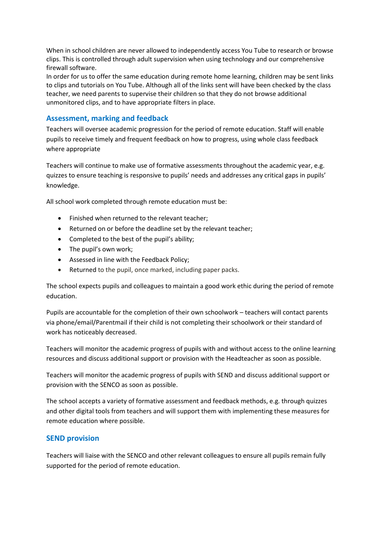When in school children are never allowed to independently access You Tube to research or browse clips. This is controlled through adult supervision when using technology and our comprehensive firewall software.

In order for us to offer the same education during remote home learning, children may be sent links to clips and tutorials on You Tube. Although all of the links sent will have been checked by the class teacher, we need parents to supervise their children so that they do not browse additional unmonitored clips, and to have appropriate filters in place.

## **Assessment, marking and feedback**

Teachers will oversee academic progression for the period of remote education. Staff will enable pupils to receive timely and frequent feedback on how to progress, using whole class feedback where appropriate

Teachers will continue to make use of formative assessments throughout the academic year, e.g. quizzes to ensure teaching is responsive to pupils' needs and addresses any critical gaps in pupils' knowledge.

All school work completed through remote education must be:

- Finished when returned to the relevant teacher;
- Returned on or before the deadline set by the relevant teacher;
- Completed to the best of the pupil's ability;
- The pupil's own work;
- Assessed in line with the Feedback Policy;
- Returned to the pupil, once marked, including paper packs.

The school expects pupils and colleagues to maintain a good work ethic during the period of remote education.

Pupils are accountable for the completion of their own schoolwork – teachers will contact parents via phone/email/Parentmail if their child is not completing their schoolwork or their standard of work has noticeably decreased.

Teachers will monitor the academic progress of pupils with and without access to the online learning resources and discuss additional support or provision with the Headteacher as soon as possible.

Teachers will monitor the academic progress of pupils with SEND and discuss additional support or provision with the SENCO as soon as possible.

The school accepts a variety of formative assessment and feedback methods, e.g. through quizzes and other digital tools from teachers and will support them with implementing these measures for remote education where possible.

#### **SEND provision**

Teachers will liaise with the SENCO and other relevant colleagues to ensure all pupils remain fully supported for the period of remote education.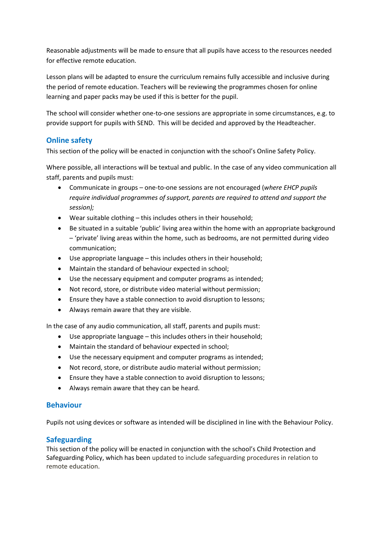Reasonable adjustments will be made to ensure that all pupils have access to the resources needed for effective remote education.

Lesson plans will be adapted to ensure the curriculum remains fully accessible and inclusive during the period of remote education. Teachers will be reviewing the programmes chosen for online learning and paper packs may be used if this is better for the pupil.

The school will consider whether one-to-one sessions are appropriate in some circumstances, e.g. to provide support for pupils with SEND. This will be decided and approved by the Headteacher.

# **Online safety**

This section of the policy will be enacted in conjunction with the school's Online Safety Policy.

Where possible, all interactions will be textual and public. In the case of any video communication all staff, parents and pupils must:

- Communicate in groups one-to-one sessions are not encouraged (*where EHCP pupils require individual programmes of support, parents are required to attend and support the session);*
- Wear suitable clothing this includes others in their household;
- Be situated in a suitable 'public' living area within the home with an appropriate background – 'private' living areas within the home, such as bedrooms, are not permitted during video communication;
- Use appropriate language this includes others in their household;
- Maintain the standard of behaviour expected in school;
- Use the necessary equipment and computer programs as intended;
- Not record, store, or distribute video material without permission;
- Ensure they have a stable connection to avoid disruption to lessons;
- Always remain aware that they are visible.

In the case of any audio communication, all staff, parents and pupils must:

- Use appropriate language this includes others in their household;
- Maintain the standard of behaviour expected in school;
- Use the necessary equipment and computer programs as intended;
- Not record, store, or distribute audio material without permission;
- Ensure they have a stable connection to avoid disruption to lessons;
- Always remain aware that they can be heard.

## **Behaviour**

Pupils not using devices or software as intended will be disciplined in line with the Behaviour Policy.

## **Safeguarding**

This section of the policy will be enacted in conjunction with the school's Child Protection and Safeguarding Policy, which has been updated to include safeguarding procedures in relation to remote education.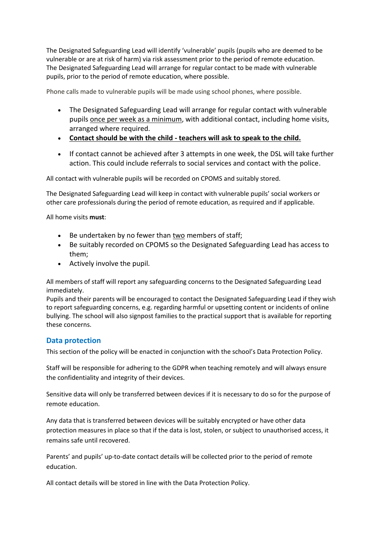The Designated Safeguarding Lead will identify 'vulnerable' pupils (pupils who are deemed to be vulnerable or are at risk of harm) via risk assessment prior to the period of remote education. The Designated Safeguarding Lead will arrange for regular contact to be made with vulnerable pupils, prior to the period of remote education, where possible.

Phone calls made to vulnerable pupils will be made using school phones, where possible.

- The Designated Safeguarding Lead will arrange for regular contact with vulnerable pupils once per week as a minimum, with additional contact, including home visits, arranged where required.
- **Contact should be with the child - teachers will ask to speak to the child.**
- If contact cannot be achieved after 3 attempts in one week, the DSL will take further action. This could include referrals to social services and contact with the police.

All contact with vulnerable pupils will be recorded on CPOMS and suitably stored.

The Designated Safeguarding Lead will keep in contact with vulnerable pupils' social workers or other care professionals during the period of remote education, as required and if applicable.

All home visits **must**:

- Be undertaken by no fewer than two members of staff;
- Be suitably recorded on CPOMS so the Designated Safeguarding Lead has access to them;
- Actively involve the pupil.

All members of staff will report any safeguarding concerns to the Designated Safeguarding Lead immediately.

Pupils and their parents will be encouraged to contact the Designated Safeguarding Lead if they wish to report safeguarding concerns, e.g. regarding harmful or upsetting content or incidents of online bullying. The school will also signpost families to the practical support that is available for reporting these concerns.

#### **Data protection**

This section of the policy will be enacted in conjunction with the school's Data Protection Policy.

Staff will be responsible for adhering to the GDPR when teaching remotely and will always ensure the confidentiality and integrity of their devices.

Sensitive data will only be transferred between devices if it is necessary to do so for the purpose of remote education.

Any data that is transferred between devices will be suitably encrypted or have other data protection measures in place so that if the data is lost, stolen, or subject to unauthorised access, it remains safe until recovered.

Parents' and pupils' up-to-date contact details will be collected prior to the period of remote education.

All contact details will be stored in line with the Data Protection Policy.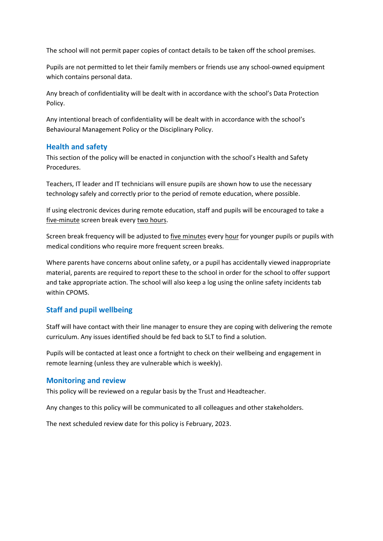The school will not permit paper copies of contact details to be taken off the school premises.

Pupils are not permitted to let their family members or friends use any school-owned equipment which contains personal data.

Any breach of confidentiality will be dealt with in accordance with the school's Data Protection Policy.

Any intentional breach of confidentiality will be dealt with in accordance with the school's Behavioural Management Policy or the Disciplinary Policy.

#### **Health and safety**

This section of the policy will be enacted in conjunction with the school's Health and Safety Procedures.

Teachers, IT leader and IT technicians will ensure pupils are shown how to use the necessary technology safely and correctly prior to the period of remote education, where possible.

If using electronic devices during remote education, staff and pupils will be encouraged to take a five-minute screen break every two hours.

Screen break frequency will be adjusted to five minutes every hour for younger pupils or pupils with medical conditions who require more frequent screen breaks.

Where parents have concerns about online safety, or a pupil has accidentally viewed inappropriate material, parents are required to report these to the school in order for the school to offer support and take appropriate action. The school will also keep a log using the online safety incidents tab within CPOMS.

#### **Staff and pupil wellbeing**

Staff will have contact with their line manager to ensure they are coping with delivering the remote curriculum. Any issues identified should be fed back to SLT to find a solution.

Pupils will be contacted at least once a fortnight to check on their wellbeing and engagement in remote learning (unless they are vulnerable which is weekly).

#### **Monitoring and review**

This policy will be reviewed on a regular basis by the Trust and Headteacher.

Any changes to this policy will be communicated to all colleagues and other stakeholders.

The next scheduled review date for this policy is February, 2023.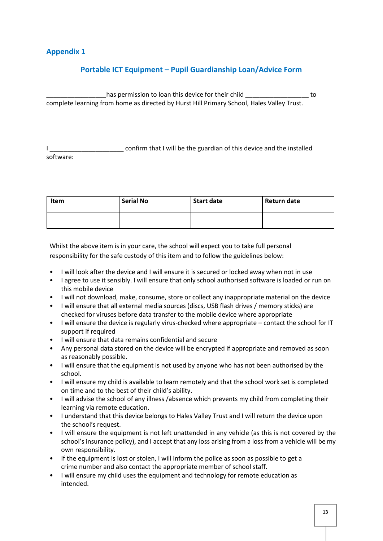# **Appendix 1**

# **Portable ICT Equipment – Pupil Guardianship Loan/Advice Form**

has permission to loan this device for their child to to complete learning from home as directed by Hurst Hill Primary School, Hales Valley Trust.

confirm that I will be the guardian of this device and the installed software:

| <b>Item</b> | <b>Serial No</b> | Start date | Return date |
|-------------|------------------|------------|-------------|
|             |                  |            |             |

Whilst the above item is in your care, the school will expect you to take full personal responsibility for the safe custody of this item and to follow the guidelines below:

- I will look after the device and I will ensure it is secured or locked away when not in use
- I agree to use it sensibly. I will ensure that only school authorised software is loaded or run on this mobile device
- I will not download, make, consume, store or collect any inappropriate material on the device
- I will ensure that all external media sources (discs, USB flash drives / memory sticks) are checked for viruses before data transfer to the mobile device where appropriate
- I will ensure the device is regularly virus-checked where appropriate contact the school for IT support if required
- I will ensure that data remains confidential and secure
- Any personal data stored on the device will be encrypted if appropriate and removed as soon as reasonably possible.
- I will ensure that the equipment is not used by anyone who has not been authorised by the school.
- I will ensure my child is available to learn remotely and that the school work set is completed on time and to the best of their child's ability.
- I will advise the school of any illness /absence which prevents my child from completing their learning via remote education.
- I understand that this device belongs to Hales Valley Trust and I will return the device upon the school's request.
- I will ensure the equipment is not left unattended in any vehicle (as this is not covered by the school's insurance policy), and I accept that any loss arising from a loss from a vehicle will be my own responsibility.
- If the equipment is lost or stolen, I will inform the police as soon as possible to get a crime number and also contact the appropriate member of school staff.
- I will ensure my child uses the equipment and technology for remote education as intended.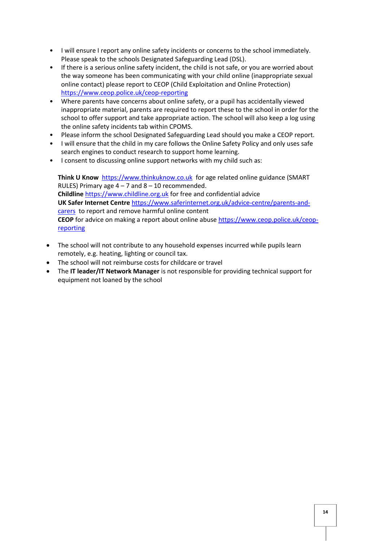- I will ensure I report any online safety incidents or concerns to the school immediately. Please speak to the schools Designated Safeguarding Lead (DSL).
- If there is a serious online safety incident, the child is not safe, or you are worried about the way someone has been communicating with your child online (inappropriate sexual online contact) please report to CEOP (Child Exploitation and Online Protection) <https://www.ceop.police.uk/ceop-reporting>
- Where parents have concerns about online safety, or a pupil has accidentally viewed inappropriate material, parents are required to report these to the school in order for the school to offer support and take appropriate action. The school will also keep a log using the online safety incidents tab within CPOMS.
- Please inform the school Designated Safeguarding Lead should you make a CEOP report.
- I will ensure that the child in my care follows the Online Safety Policy and only uses safe search engines to conduct research to support home learning.
- I consent to discussing online support networks with my child such as:

**Think U Know** [https://www.thinkuknow.co.uk](https://www.thinkuknow.co.uk/)for age related online guidance (SMART RULES) Primary age  $4 - 7$  and  $8 - 10$  recommended. **Childline** [https://www.childline.org.uk](https://www.childline.org.uk/) for free and confidential advice **UK Safer Internet Centre** [https://www.saferinternet.org.uk/advice-centre/parents-and](https://www.saferinternet.org.uk/advice-centre/parents-and-carers)[carers](https://www.saferinternet.org.uk/advice-centre/parents-and-carers) to report and remove harmful online content **CEOP** for advice on making a report about online abus[e https://www.ceop.police.uk/ceop](https://www.ceop.police.uk/ceop-reporting)[reporting](https://www.ceop.police.uk/ceop-reporting)

- The school will not contribute to any household expenses incurred while pupils learn remotely, e.g. heating, lighting or council tax.
- The school will not reimburse costs for childcare or travel
- The **IT leader/IT Network Manager** is not responsible for providing technical support for equipment not loaned by the school